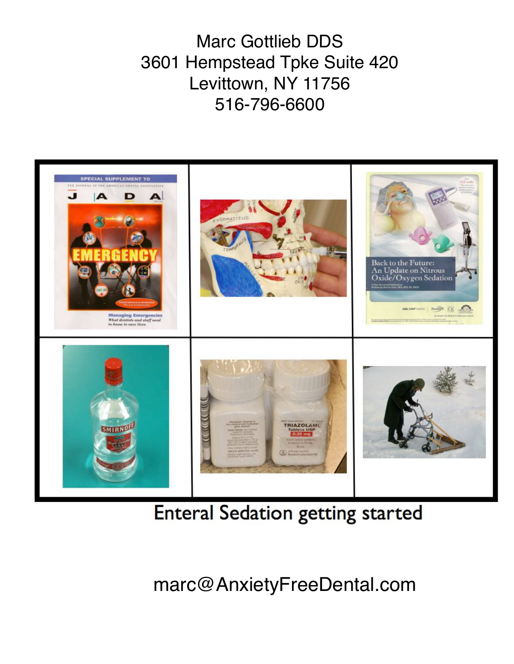Marc Gottlieb DDS 3601 Hempstead Tpke Suite 420 Levittown, NY 11756 516-796-6600



**Enteral Sedation getting started** 

marc@AnxietyFreeDental.com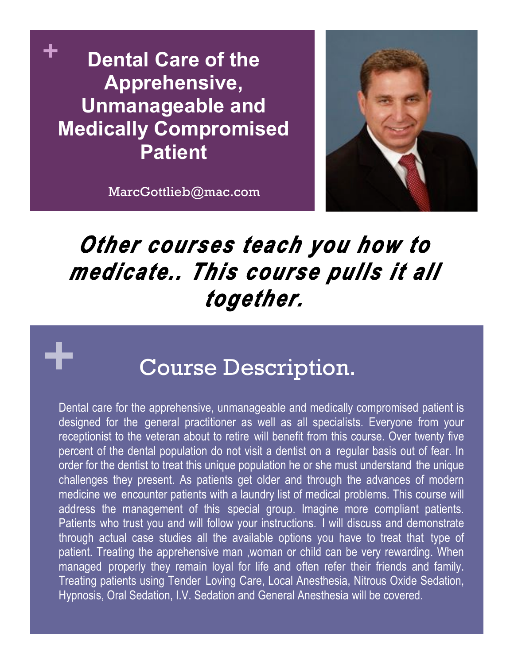**+ Dental Care of the Apprehensive, Unmanageable and Medically Compromised Patient**



MarcGottlieb@mac.com

**+**

# *Other courses teach you how to medicate.. This course pulls it all together.*

# Course Description.

Dental care for the apprehensive, unmanageable and medically compromised patient is designed for the general practitioner as well as all specialists. Everyone from your receptionist to the veteran about to retire will benefit from this course. Over twenty five percent of the dental population do not visit a dentist on a regular basis out of fear. In order for the dentist to treat this unique population he or she must understand the unique challenges they present. As patients get older and through the advances of modern medicine we encounter patients with a laundry list of medical problems. This course will address the management of this special group. Imagine more compliant patients. Patients who trust you and will follow your instructions. I will discuss and demonstrate through actual case studies all the available options you have to treat that type of patient. Treating the apprehensive man ,woman or child can be very rewarding. When managed properly they remain loyal for life and often refer their friends and family. Treating patients using Tender Loving Care, Local Anesthesia, Nitrous Oxide Sedation, Hypnosis, Oral Sedation, I.V. Sedation and General Anesthesia will be covered.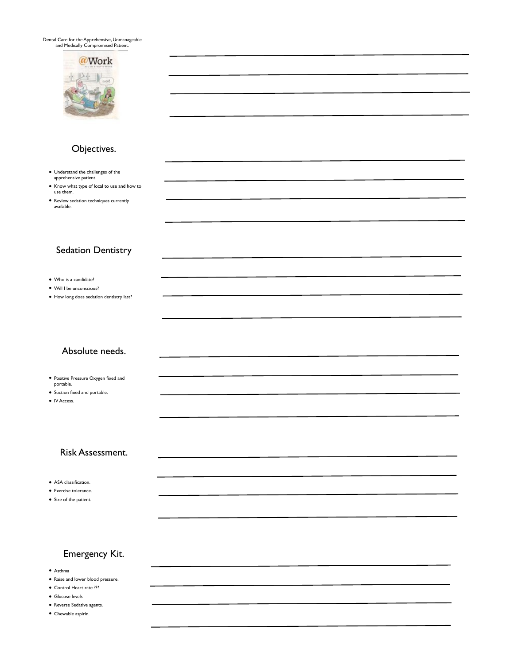Dental Care for the Apprehensive, Unmanageable and Medically Compromised Patient.



#### Objectives.

- Understand the challenges of the apprehensive patient.
- Know what type of local to use and how to use them.
- Review sedation techniques currently available.

#### Sedation Dentistry

- Who is a candidate?
- Will I be unconscious?
- How long does sedation dentistry last?

#### Absolute needs.

- Positive Pressure Oxygen fixed and portable.
- Suction fixed and portable.
- IV Access.

#### Risk Assessment.

- ASA classification.
- Exercise tolerance.
- Size of the patient.

#### Emergency Kit.

- Asthma
- Raise and lower blood pressure.
- Control Heart rate ???
- Glucose levels
- Reverse Sedative agents.
- Chewable aspirin.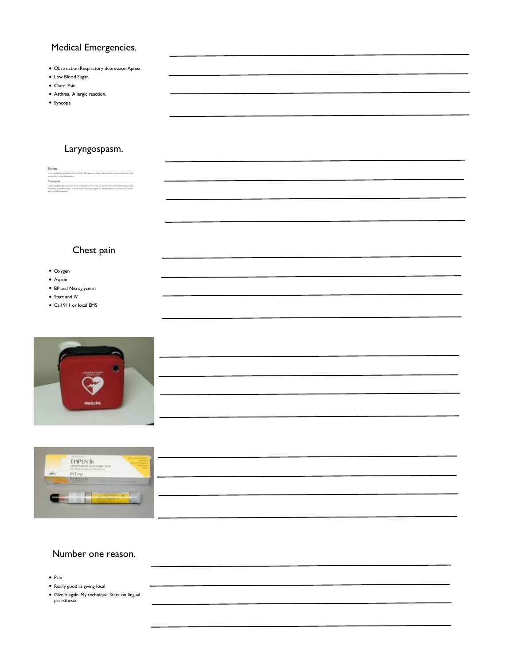#### Medical Emergencies.

- Obstruction,Respiratory depression,Apnea
- Low Blood Sugar.
- Chest Pain
- Asthma, Allergic reaction.
- Syncope

#### Laryngospasm.

| Etiology                                                                                                                                                                                                                                                   |  |
|------------------------------------------------------------------------------------------------------------------------------------------------------------------------------------------------------------------------------------------------------------|--|
| It is a correlication associated with anonthosis. The magn can happen often without are provocation, but tends<br>to occur after tracheal extabation.                                                                                                      |  |
| Treatment                                                                                                                                                                                                                                                  |  |
| Laryngomagn in the operating room is treated by hyperspreading the patient's neck and administering amigred<br>ventilation with 100% oppose. In more worre cases it may require the administration of an intraveness mostle<br>relaxant and relationation. |  |

# Chest pain

- Oxygen
- Asprin
- BP and Nitroglycerin
- Start and IV
- Call 911 or local EMS





# Number one reason.

- Pain
- Really good at giving local.
- Give it again. My technique. Stats. on lingual paresthesia.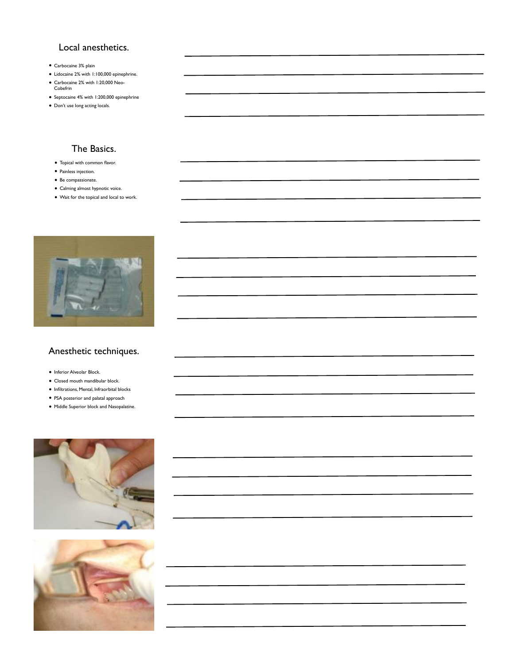#### Local anesthetics.

- Carbocaine 3% plain
- Lidocaine 2% with 1:100,000 epinephrine.
- Carbocaine 2% with 1:20,000 Neo-Cobefrin
- Septocaine 4% with 1:200,000 epinephrine
- Don't use long acting locals.

# The Basics.

- Topical with common flavor.
- Painless injection.
- Be compassionate.
- Calming almost hypnotic voice.
- Wait for the topical and local to work.



#### Anesthetic techniques.

- Inferior Alveolar Block.
- Closed mouth mandibular block.
- Infiltrations, Mental, Infraorbital blocks
- PSA posterior and palatal approach
- Middle Superior block and Nasopalatine.



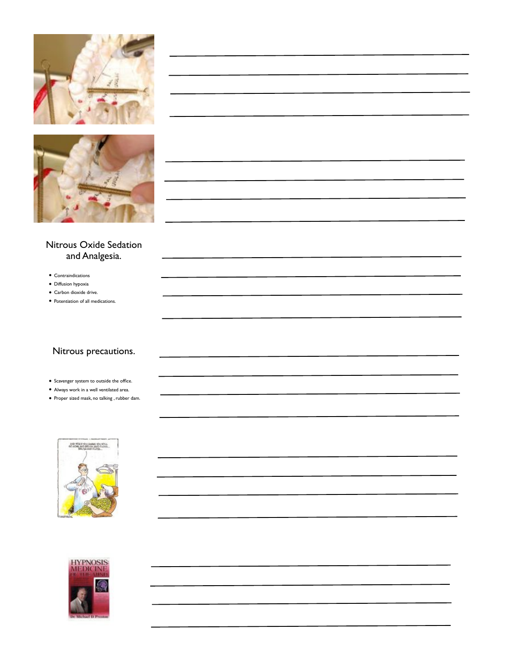



#### Nitrous Oxide Sedation and Analgesia.

- Contraindications
- Diffusion hypoxia
- Carbon dioxide drive.
- Potentiation of all medications.

#### Nitrous precautions.

- Scavenger system to outside the office.
- Always work in a well ventilated area.
- Proper sized mask, no talking , rubber dam.



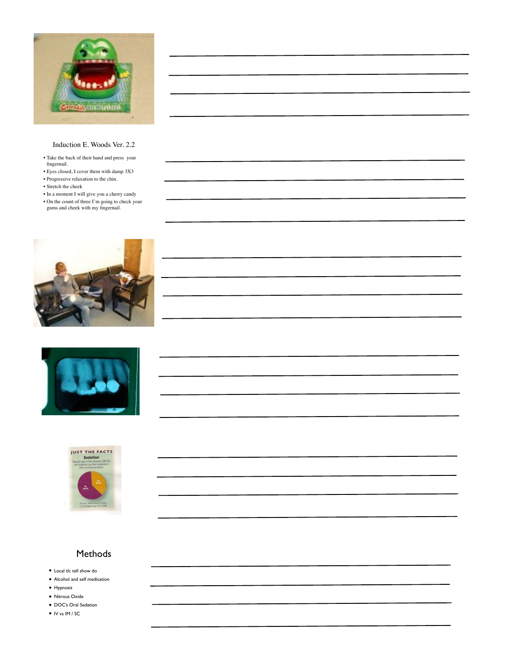

#### Induction E. Woods Ver. 2.2

- Take the back of their hand and press your fingernail.
- Eyes closed, I cover them with damp 3X3
- Progressive relaxation to the chin.
- Stretch the cheek
- In a moment I will give you a cherry candy
- On the count of three I'm going to check your gums and cheek with my fingernail.







#### Methods

- Local tlc tell show do
- Alcohol and self medication
- Hypnosis
- Nitrous Oxide
- DOC's Oral Sedation
- IV vs IM / SC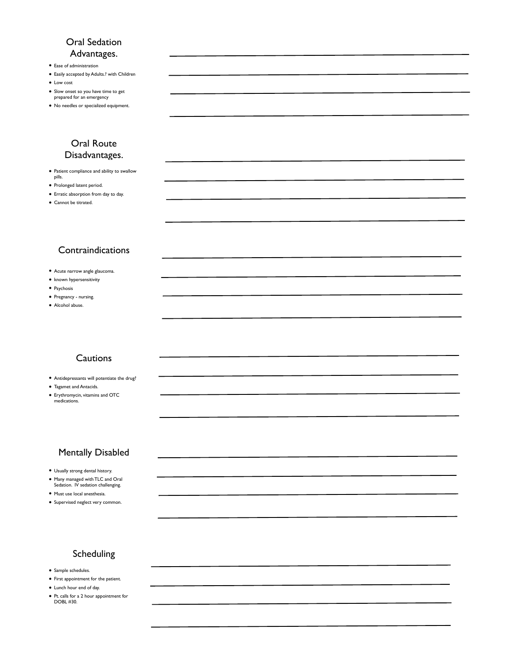#### Oral Sedation Advantages.

- Ease of administration
- Easily accepted by Adults.? with Children
- Low cost
- Slow onset so you have time to get prepared for an emergency
- No needles or specialized equipment.

#### Oral Route Disadvantages.

- Patient compliance and ability to swallow pills.
- Prolonged latent period.
- Erratic absorption from day to day.
- Cannot be titrated.

#### Contraindications

- Acute narrow angle glaucoma.
- known hypersensitivity
- Psychosis
- Pregnancy nursing.
- Alcohol abuse.

#### **Cautions**

- Antidepressants will potentiate the drug?
- Tagamet and Antacids.
- Erythromycin, vitamins and OTC medications.

#### Mentally Disabled

- Usually strong dental history.
- Many managed with TLC and Oral Sedation. IV sedation challenging.
- Must use local anesthesia.
- Supervised neglect very common.
- 

#### Scheduling

- Sample schedules.
- First appointment for the patient.
- Lunch hour end of day.
- Pt. calls for a 2 hour appointment for DOBL #30.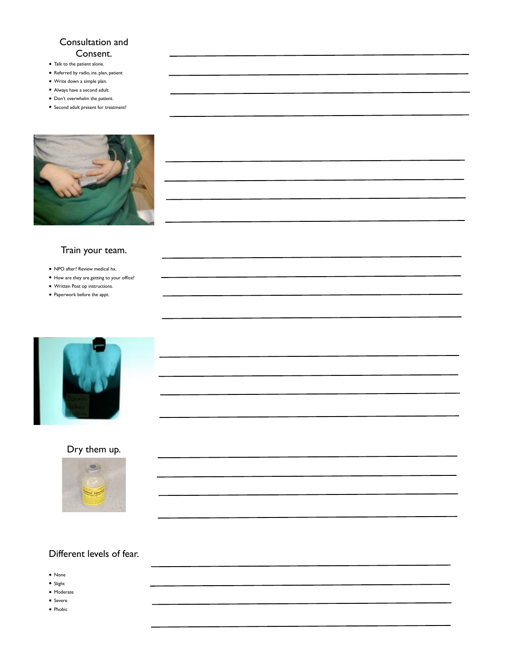#### Consultation and Consent.

- Talk to the patient alone.
- Referred by radio, ins. plan, patient
- Write down a simple plan.
- Always have a second adult.
- Don't overwhelm the patient.





#### Train your team.

- NPO after? Review medical hx.
- How are they are getting to your office?
- Written Post op instructions.
- Paperwork before the appt.



### Dry them up.



#### Different levels of fear.

- None
- Slight
- Moderate • Severe
- Phobic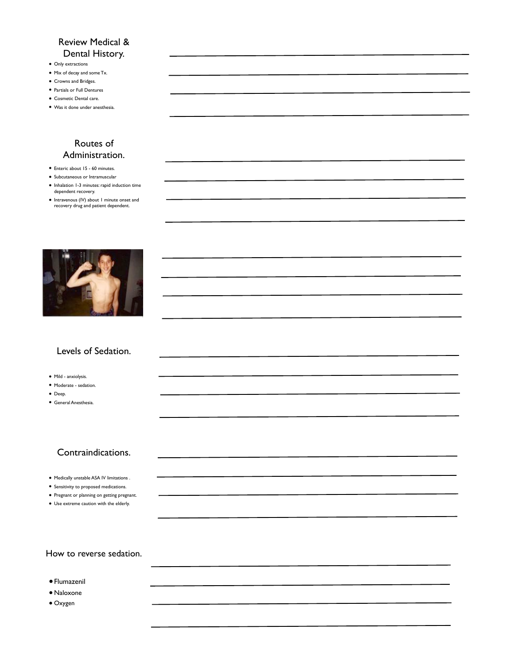#### Review Medical & Dental History.

- Only extractions
- Mix of decay and some Tx.
- Crowns and Bridges.
- Partials or Full Dentures
- Cosmetic Dental care.
- Was it done under anesthesia.

#### Routes of Administration.

- Enteric about 15 60 minutes.
- Subcutaneous or Intramuscular
- Inhalation 1-3 minutes: rapid induction time dependent recovery.
- Intravenous (IV) about 1 minute onset and recovery drug and patient dependent.



#### Levels of Sedation.

- Mild anxiolysis.
- Moderate sedation.
- Deep.
- General Anesthesia.

#### Contraindications.

- Medically unstable ASA IV limitations .
- Sensitivity to proposed medications.
- Pregnant or planning on getting pregnant.
- Use extreme caution with the elderly.

#### How to reverse sedation.

- •Flumazenil
- Naloxone
- Oxygen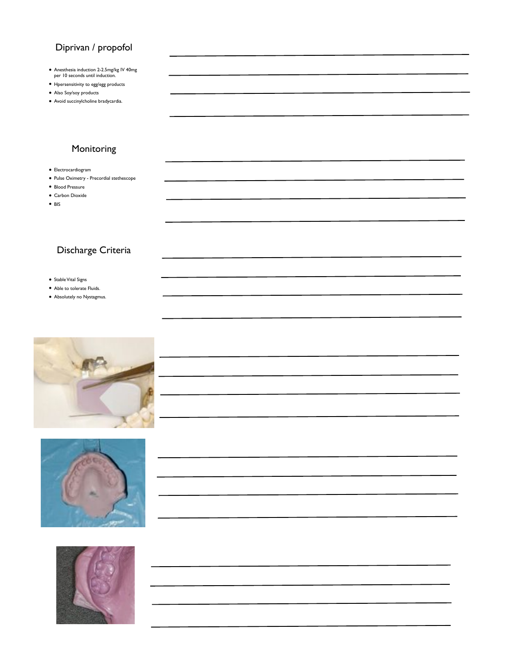### Diprivan / propofol

- Anesthesia induction 2-2.5mg/kg IV 40mg per 10 seconds until induction.
- Hpersensitivity to egg/egg products
- Also Soy/soy products
- Avoid succinylcholine bradycardia.

# Monitoring

- Electrocardiogram
- Pulse Oximetry Precordial stethescope
- Blood Pressure
- Carbon Dioxide
- BIS

### Discharge Criteria

- Stable Vital Signs
- Able to tolerate Fluids.
- Absolutely no Nystagmus.